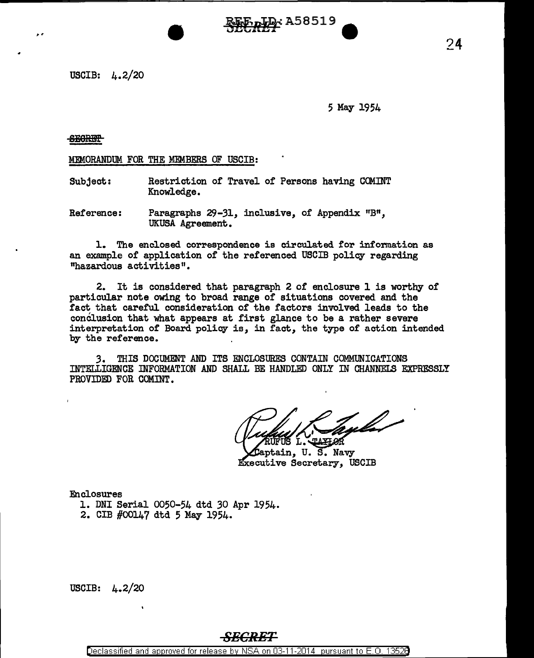USCIB: 4.2/20

5 May 1954

SEGRET-

 $\overline{\phantom{a}}$ 

#### MEMORANDUM FOR THE MEMBERS OF USCIB:

- Subject: Restriction of Travel of Persons having COMINT Knowledge.
- Reference: Paragraphs 29-31, inclusive, of Appendix "B", UKUSA Agreement.

l. The enclosed correspondence is circulated for information as an example of application of the referenced USCIB policy regarding "hazardous activities <sup>11</sup> •

~RiJiCASBS19 **a**   $\overline{\phantom{a}}$ 

2. It is considered that paragraph 2 of enclosure l is worthy of particular note owing to broad range of situations covered and the fact that careful consideration of the factors involved leads to the conclusion that what appears at first glance to be a rather severe interpretation of Board policy is, in fact, the type of action intended by the reference.

*3.* THIS DOCUMENT AND ITS ENCLOSURES CONTAIN COMMUNICATIONS INTELLIGENCE INFORMATION AND SHALL BE HANDLED ONLY IN CHANNELS EXPRESSLY PROVIDED FOR COMINT.

yla

'aptain, U. S. Navy Executive Secretary, USCIB

Enclosures

- 1. DNI Serial 0050-54 dtd *30* Apr 1954.
- 2. CIB #00147 dtd 5 May 1954.

USCIB: 4.2/20

## *SECRET*

Declassified and approved for release by NSA on 03-11-2014 pursuant to E. 0. 1352B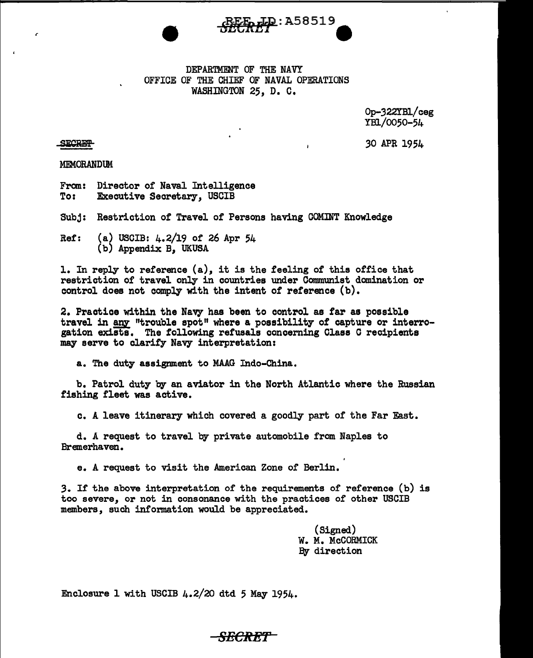

#### DEPARTMENT OF THE NAVY OFFICE OF THE CHIEF OF NAVAL OPERATIONS WASHINGTON 25, D. C.

Op-322YBl/ceg YBl/0050-54

*30* APR 1954

**SECRET** 

r

MEMORANDUM

From: Director of Naval Intelligence<br>To: Executive Secretary. USCIB **Executive Secretary, USCIB** 

Subj: Restriction of Travel of Persons having COMINT Knowledge

Ref: (a) USCIB: 4.2/19 of 26 Apr 54 (b) Appendix B, UKUSA

1. In reply to reference (a), it is the feeling of this office that restriction or travel only in countries under Communist domination or control does not comply with the intent of reference  $(b)$ .

2. Practice within the Navy has been to control as far as possible travel in any "trouble spot" where a possibility of capture or interrogation exists. The following refusals concerning Class C recipients may serve to clarify Navy interpretation:

a. The duty assignment to MAAG Indo-China.

b. Patrol duty by an aviator in the North Atlantic where the Russian fishing fleet was active.

c. A leave itinerary which covered a goodly part of the Far Fast.

d. *A* request to travel by private automobile from Naples to Bremerhaven.

e. A request to visit the American Zone of Berlin.

3. If the above interpretation of the requirements of reference (b) is too severe, or not in consonance with the practices of other USCIB members, such information would be appreciated.

> (Signed) W. M. McCORMICK By direction

Enclosure 1 with USCIB  $4.2/20$  dtd 5 May 1954.

## *SECR-ET*